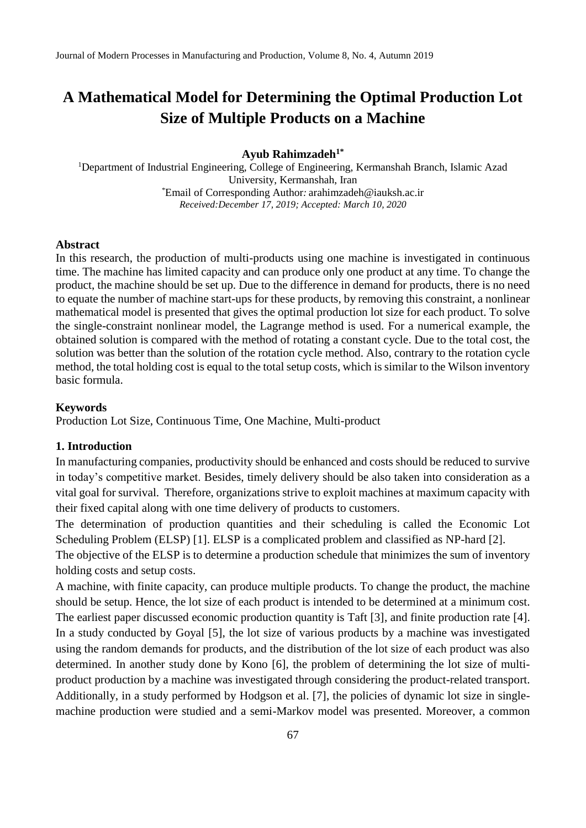### **Ayub Rahimzadeh1\***

<sup>1</sup>Department of Industrial Engineering, College of Engineering, Kermanshah Branch, Islamic Azad University, Kermanshah, Iran \*Email of Corresponding Author*:* arahimzadeh@iauksh.ac.ir *Received:December 17, 2019; Accepted: March 10, 2020*

#### **Abstract**

In this research, the production of multi-products using one machine is investigated in continuous time. The machine has limited capacity and can produce only one product at any time. To change the product, the machine should be set up. Due to the difference in demand for products, there is no need to equate the number of machine start-ups for these products, by removing this constraint, a nonlinear mathematical model is presented that gives the optimal production lot size for each product. To solve the single-constraint nonlinear model, the Lagrange method is used. For a numerical example, the obtained solution is compared with the method of rotating a constant cycle. Due to the total cost, the solution was better than the solution of the rotation cycle method. Also, contrary to the rotation cycle method, the total holding cost is equal to the total setup costs, which is similar to the Wilson inventory basic formula.

### **Keywords**

Production Lot Size, Continuous Time, One Machine, Multi-product

## **1. Introduction**

In manufacturing companies, productivity should be enhanced and costs should be reduced to survive in today's competitive market. Besides, timely delivery should be also taken into consideration as a vital goal for survival. Therefore, organizations strive to exploit machines at maximum capacity with their fixed capital along with one time delivery of products to customers.

The determination of production quantities and their scheduling is called the Economic Lot Scheduling Problem (ELSP) [1]. ELSP is a complicated problem and classified as NP-hard [2].

The objective of the ELSP is to determine a production schedule that minimizes the sum of inventory holding costs and setup costs.

A machine, with finite capacity, can produce multiple products. To change the product, the machine should be setup. Hence, the lot size of each product is intended to be determined at a minimum cost. The earliest paper discussed economic production quantity is Taft [3], and finite production rate [4]. In a study conducted by Goyal [5], the lot size of various products by a machine was investigated using the random demands for products, and the distribution of the lot size of each product was also determined. In another study done by Kono [6], the problem of determining the lot size of multiproduct production by a machine was investigated through considering the product-related transport. Additionally, in a study performed by Hodgson et al. [7], the policies of dynamic lot size in singlemachine production were studied and a semi-Markov model was presented. Moreover, a common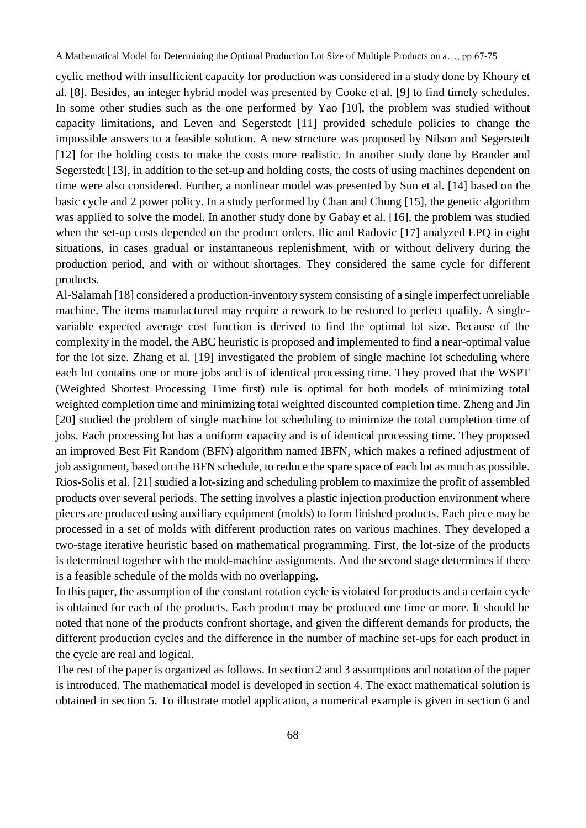cyclic method with insufficient capacity for production was considered in a study done by Khoury et al. [8]. Besides, an integer hybrid model was presented by Cooke et al. [9] to find timely schedules. In some other studies such as the one performed by Yao [10], the problem was studied without capacity limitations, and Leven and Segerstedt [11] provided schedule policies to change the impossible answers to a feasible solution. A new structure was proposed by Nilson and Segerstedt [12] for the holding costs to make the costs more realistic. In another study done by Brander and Segerstedt [13], in addition to the set-up and holding costs, the costs of using machines dependent on time were also considered. Further, a nonlinear model was presented by Sun et al. [14] based on the basic cycle and 2 power policy. In a study performed by Chan and Chung [15], the genetic algorithm was applied to solve the model. In another study done by Gabay et al. [16], the problem was studied when the set-up costs depended on the product orders. Ilic and Radovic [17] analyzed EPQ in eight situations, in cases gradual or instantaneous replenishment, with or without delivery during the production period, and with or without shortages. They considered the same cycle for different products.

Al-Salamah [18] considered a production-inventory system consisting of a single imperfect unreliable machine. The items manufactured may require a rework to be restored to perfect quality. A singlevariable expected average cost function is derived to find the optimal lot size. Because of the complexity in the model, the ABC heuristic is proposed and implemented to find a near-optimal value for the lot size. Zhang et al. [19] investigated the problem of single machine lot scheduling where each lot contains one or more jobs and is of identical processing time. They proved that the WSPT (Weighted Shortest Processing Time first) rule is optimal for both models of minimizing total weighted completion time and minimizing total weighted discounted completion time. Zheng and Jin [20] studied the problem of single machine lot scheduling to minimize the total completion time of jobs. Each processing lot has a uniform capacity and is of identical processing time. They proposed an improved Best Fit Random (BFN) algorithm named IBFN, which makes a refined adjustment of job assignment, based on the BFN schedule, to reduce the spare space of each lot as much as possible. Rios-Solis et al. [21] studied a lot-sizing and scheduling problem to maximize the profit of assembled products over several periods. The setting involves a plastic injection production environment where pieces are produced using auxiliary equipment (molds) to form finished products. Each piece may be processed in a set of molds with different production rates on various machines. They developed a two-stage iterative heuristic based on mathematical programming. First, the lot-size of the products is determined together with the mold-machine assignments. And the second stage determines if there is a feasible schedule of the molds with no overlapping.

In this paper, the assumption of the constant rotation cycle is violated for products and a certain cycle is obtained for each of the products. Each product may be produced one time or more. It should be noted that none of the products confront shortage, and given the different demands for products, the different production cycles and the difference in the number of machine set-ups for each product in the cycle are real and logical.

The rest of the paper is organized as follows. In section 2 and 3 assumptions and notation of the paper is introduced. The mathematical model is developed in section 4. The exact mathematical solution is obtained in section 5. To illustrate model application, a numerical example is given in section 6 and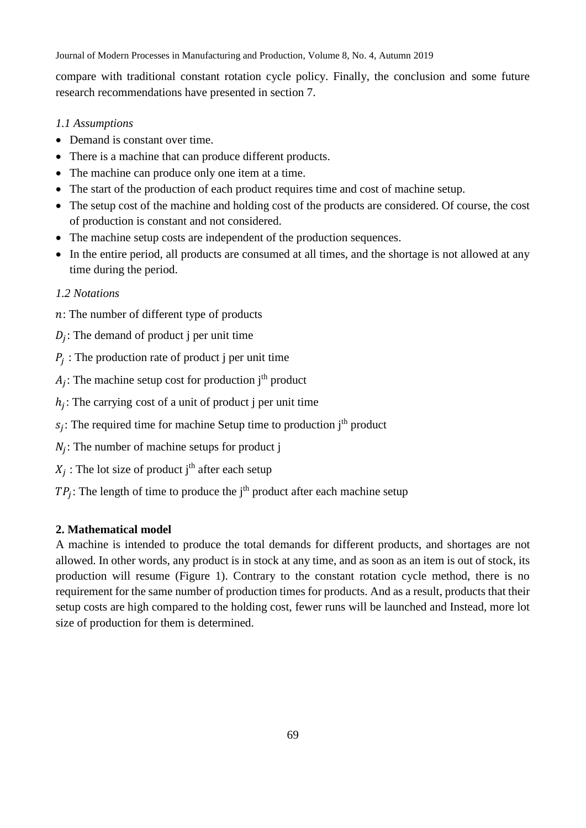Journal of Modern Processes in Manufacturing and Production, Volume 8, No. 4, Autumn 2019

compare with traditional constant rotation cycle policy. Finally, the conclusion and some future research recommendations have presented in section 7.

# *1.1 Assumptions*

- Demand is constant over time.
- There is a machine that can produce different products.
- The machine can produce only one item at a time.
- The start of the production of each product requires time and cost of machine setup.
- The setup cost of the machine and holding cost of the products are considered. Of course, the cost of production is constant and not considered.
- The machine setup costs are independent of the production sequences.
- In the entire period, all products are consumed at all times, and the shortage is not allowed at any time during the period.

# *1.2 Notations*

- : The number of different type of products
- $D_j$ : The demand of product j per unit time
- $P_j$ : The production rate of product j per unit time

 $A_j$ : The machine setup cost for production j<sup>th</sup> product

- $h_j$ : The carrying cost of a unit of product j per unit time
- $s_j$ : The required time for machine Setup time to production j<sup>th</sup> product
- $N_j$ : The number of machine setups for product j
- $X_j$ : The lot size of product j<sup>th</sup> after each setup
- $TP_j$ : The length of time to produce the j<sup>th</sup> product after each machine setup

# **2. Mathematical model**

A machine is intended to produce the total demands for different products, and shortages are not allowed. In other words, any product is in stock at any time, and as soon as an item is out of stock, its production will resume (Figure 1). Contrary to the constant rotation cycle method, there is no requirement for the same number of production times for products. And as a result, products that their setup costs are high compared to the holding cost, fewer runs will be launched and Instead, more lot size of production for them is determined.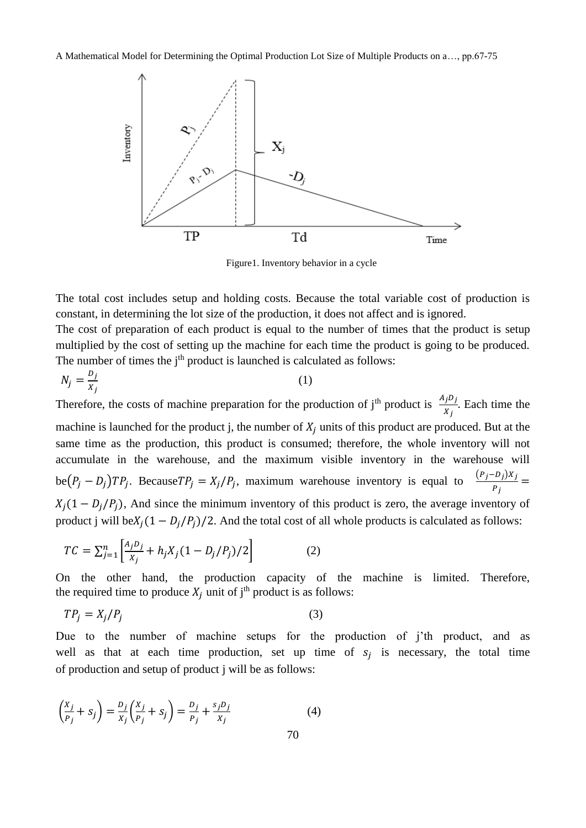

Figure1. Inventory behavior in a cycle

The total cost includes setup and holding costs. Because the total variable cost of production is constant, in determining the lot size of the production, it does not affect and is ignored.

The cost of preparation of each product is equal to the number of times that the product is setup multiplied by the cost of setting up the machine for each time the product is going to be produced. The number of times the  $j<sup>th</sup>$  product is launched is calculated as follows:

$$
N_j = \frac{D_j}{x_j} \tag{1}
$$

Therefore, the costs of machine preparation for the production of j<sup>th</sup> product is  $\frac{A_j D_j}{X_j}$ . Each time the machine is launched for the product j, the number of  $X_i$  units of this product are produced. But at the same time as the production, this product is consumed; therefore, the whole inventory will not accumulate in the warehouse, and the maximum visible inventory in the warehouse will be $(P_j - D_j)TP_j$ . Because  $TP_j = X_j/P_j$ , maximum warehouse inventory is equal to  $\frac{(P_j - D_j)X_j}{R_j}$  $\frac{v_j \mu_j}{P_j} =$  $X_i(1 - D_i/P_i)$ , And since the minimum inventory of this product is zero, the average inventory of product j will be $X_i(1 - D_i/P_i)/2$ . And the total cost of all whole products is calculated as follows:

$$
TC = \sum_{j=1}^{n} \left[ \frac{A_j D_j}{X_j} + h_j X_j (1 - D_j / P_j) / 2 \right]
$$
 (2)

On the other hand, the production capacity of the machine is limited. Therefore, the required time to produce  $X_i$  unit of j<sup>th</sup> product is as follows:

$$
TP_j = X_j/P_j \tag{3}
$$

Due to the number of machine setups for the production of j'th product, and as well as that at each time production, set up time of  $s_j$  is necessary, the total time of production and setup of product j will be as follows:

$$
\left(\frac{x_j}{p_j} + s_j\right) = \frac{D_j}{x_j} \left(\frac{x_j}{p_j} + s_j\right) = \frac{D_j}{p_j} + \frac{s_j D_j}{x_j}
$$
\n(4)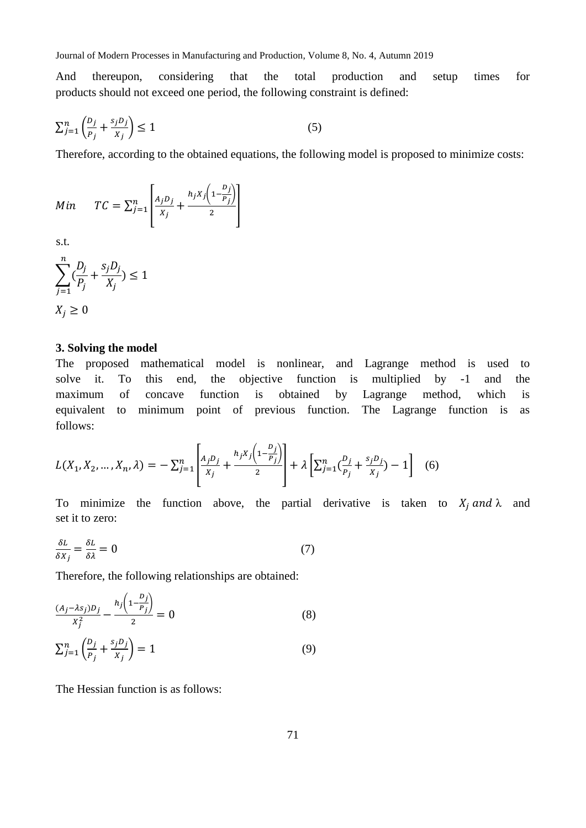And thereupon, considering that the total production and setup times for products should not exceed one period, the following constraint is defined:

$$
\sum_{j=1}^{n} \left( \frac{D_j}{P_j} + \frac{s_j D_j}{x_j} \right) \le 1
$$
\n<sup>(5)</sup>

Therefore, according to the obtained equations, the following model is proposed to minimize costs:

$$
Min \tTC = \sum_{j=1}^{n} \left[ \frac{A_j D_j}{X_j} + \frac{h_j X_j \left( 1 - \frac{D_j}{P_j} \right)}{2} \right]
$$

s.t.

$$
\sum_{j=1}^{n} \left(\frac{D_j}{P_j} + \frac{s_j D_j}{X_j}\right) \le 1
$$
  

$$
X_j \ge 0
$$

#### **3. Solving the model**

The proposed mathematical model is nonlinear, and Lagrange method is used to solve it. To this end, the objective function is multiplied by -1 and the maximum of concave function is obtained by Lagrange method, which is equivalent to minimum point of previous function. The Lagrange function is as follows:

$$
L(X_1, X_2, ..., X_n, \lambda) = -\sum_{j=1}^n \left[ \frac{A_j D_j}{X_j} + \frac{h_j X_j \left(1 - \frac{D_j}{P_j}\right)}{2} \right] + \lambda \left[ \sum_{j=1}^n \left( \frac{D_j}{P_j} + \frac{s_j D_j}{X_j} \right) - 1 \right] \tag{6}
$$

To minimize the function above, the partial derivative is taken to  $X_i$  and  $\lambda$  and set it to zero:

$$
\frac{\delta L}{\delta X_j} = \frac{\delta L}{\delta \lambda} = 0\tag{7}
$$

Therefore, the following relationships are obtained:

$$
\frac{(A_j - \lambda s_j)D_j}{x_j^2} - \frac{h_j \left(1 - \frac{D_j}{P_j}\right)}{2} = 0
$$
\n<sup>(8)</sup>

$$
\sum_{j=1}^{n} \left( \frac{D_j}{P_j} + \frac{s_j D_j}{x_j} \right) = 1 \tag{9}
$$

The Hessian function is as follows: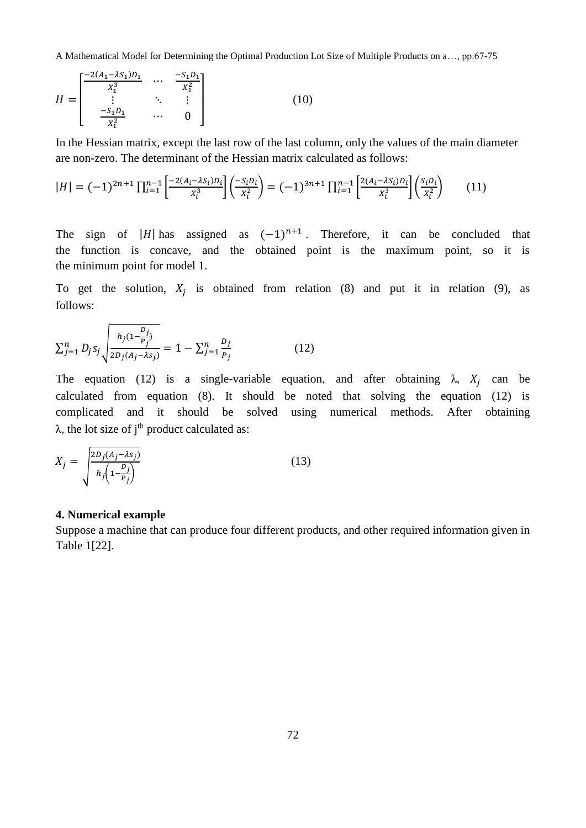$$
H = \begin{bmatrix} \frac{-2(A_1 - \lambda S_1)D_1}{X_1^3} & \cdots & \frac{-S_1 D_1}{X_1^2} \\ \vdots & \ddots & \vdots \\ \frac{-S_1 D_1}{X_1^2} & \cdots & 0 \end{bmatrix}
$$
 (10)

In the Hessian matrix, except the last row of the last column, only the values of the main diameter are non-zero. The determinant of the Hessian matrix calculated as follows:

$$
|H| = (-1)^{2n+1} \prod_{i=1}^{n-1} \left[ \frac{-2(A_i - \lambda S_i)D_i}{X_i^3} \right] \left( \frac{-S_i D_i}{X_i^2} \right) = (-1)^{3n+1} \prod_{i=1}^{n-1} \left[ \frac{2(A_i - \lambda S_i)D_i}{X_i^3} \right] \left( \frac{S_i D_i}{X_i^2} \right) \tag{11}
$$

The sign of |H| has assigned as  $(-1)^{n+1}$ . Therefore, it can be concluded that the function is concave, and the obtained point is the maximum point, so it is the minimum point for model 1.

To get the solution,  $X_j$  is obtained from relation (8) and put it in relation (9), as follows:

$$
\sum_{j=1}^{n} D_j s_j \sqrt{\frac{h_j (1 - \frac{D_j}{P_j})}{2D_j (A_j - \lambda s_j)}} = 1 - \sum_{j=1}^{n} \frac{D_j}{P_j}
$$
(12)

The equation (12) is a single-variable equation, and after obtaining  $\lambda$ ,  $X_j$  can be calculated from equation (8). It should be noted that solving the equation (12) is complicated and it should be solved using numerical methods. After obtaining  $\lambda$ , the lot size of j<sup>th</sup> product calculated as:

$$
X_j = \sqrt{\frac{2D_j(A_j - \lambda s_j)}{h_j\left(1 - \frac{D_j}{P_j}\right)}}
$$
(13)

### **4. Numerical example**

Suppose a machine that can produce four different products, and other required information given in Table 1[22].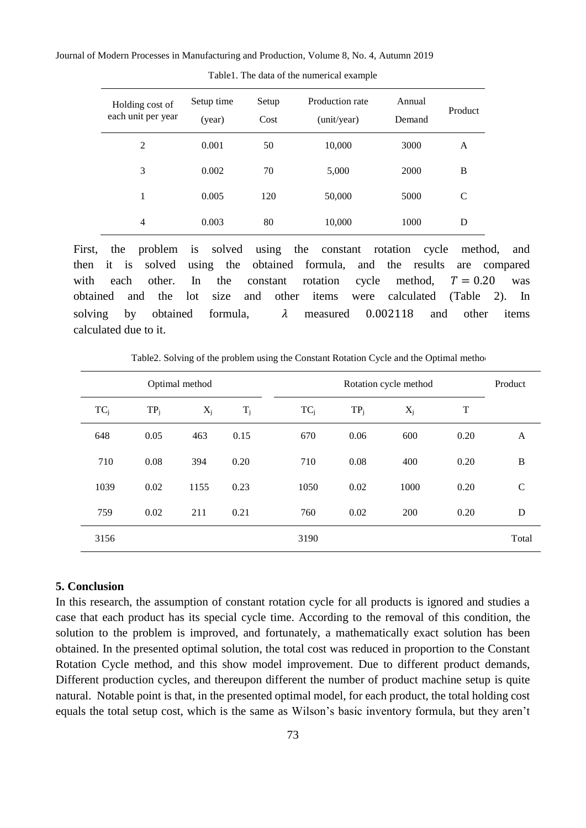Journal of Modern Processes in Manufacturing and Production, Volume 8, No. 4, Autumn 2019

| Holding cost of<br>each unit per year | Setup time<br>(year) | Production rate<br>Setup<br>Cost<br>(unit/year) |        | Annual<br>Demand | Product |
|---------------------------------------|----------------------|-------------------------------------------------|--------|------------------|---------|
| 2                                     | 0.001                | 50                                              | 10,000 | 3000             | A       |
| 3                                     | 0.002                | 70                                              | 5,000  | 2000             | B       |
| 1                                     | 0.005                | 120                                             | 50,000 | 5000             | C       |
| 4                                     | 0.003                | 80                                              | 10,000 | 1000             | D       |

Table1. The data of the numerical example

First, the problem is solved using the constant rotation cycle method, and then it is solved using the obtained formula, and the results are compared with each other. In the constant rotation cycle method,  $T = 0.20$  was obtained and the lot size and other items were calculated (Table 2). In solving by obtained formula,  $\lambda$  measured 0.002118 and other items calculated due to it.

Table2. Solving of the problem using the Constant Rotation Cycle and the Optimal method

| Optimal method |        |       |       | Rotation cycle method |        |       |      |              |
|----------------|--------|-------|-------|-----------------------|--------|-------|------|--------------|
| $TC_i$         | $TP_j$ | $X_j$ | $T_i$ | $TC_i$                | $TP_i$ | $X_j$ | T    |              |
| 648            | 0.05   | 463   | 0.15  | 670                   | 0.06   | 600   | 0.20 | A            |
| 710            | 0.08   | 394   | 0.20  | 710                   | 0.08   | 400   | 0.20 | B            |
| 1039           | 0.02   | 1155  | 0.23  | 1050                  | 0.02   | 1000  | 0.20 | $\mathsf{C}$ |
| 759            | 0.02   | 211   | 0.21  | 760                   | 0.02   | 200   | 0.20 | D            |
| 3156           |        |       |       | 3190                  |        |       |      | Total        |

### **5. Conclusion**

In this research, the assumption of constant rotation cycle for all products is ignored and studies a case that each product has its special cycle time. According to the removal of this condition, the solution to the problem is improved, and fortunately, a mathematically exact solution has been obtained. In the presented optimal solution, the total cost was reduced in proportion to the Constant Rotation Cycle method, and this show model improvement. Due to different product demands, Different production cycles, and thereupon different the number of product machine setup is quite natural. Notable point is that, in the presented optimal model, for each product, the total holding cost equals the total setup cost, which is the same as Wilson's basic inventory formula, but they aren't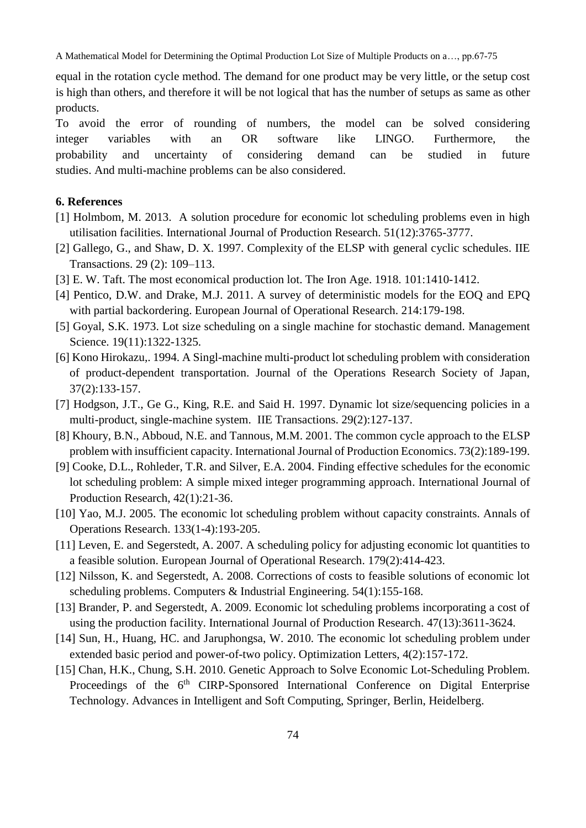equal in the rotation cycle method. The demand for one product may be very little, or the setup cost is high than others, and therefore it will be not logical that has the number of setups as same as other products.

To avoid the error of rounding of numbers, the model can be solved considering integer variables with an OR software like LINGO. Furthermore, the probability and uncertainty of considering demand can be studied in future studies. And multi-machine problems can be also considered.

### **6. References**

- [1] Holmbom, M. 2013. A solution procedure for economic lot scheduling problems even in high utilisation facilities. International Journal of Production Research. 51(12):3765-3777.
- [2] Gallego, G., and Shaw, D. X. 1997. Complexity of the ELSP with general cyclic schedules. IIE Transactions. 29 (2): 109–113.
- [3] E. W. Taft. The most economical production lot. The Iron Age. 1918. 101:1410-1412.
- [4] Pentico, D.W. and Drake, M.J. 2011. A survey of deterministic models for the EOQ and EPQ with partial backordering. European Journal of Operational Research. 214:179-198.
- [5] Goyal, S.K. 1973. Lot size scheduling on a single machine for stochastic demand. Management Science. 19(11):1322-1325.
- [6] Kono Hirokazu,. 1994. A Singl-machine multi-product lot scheduling problem with consideration of product-dependent transportation. Journal of the Operations Research Society of Japan, 37(2):133-157.
- [7] Hodgson, J.T., Ge G., King, R.E. and Said H. 1997. Dynamic lot size/sequencing policies in a multi-product, single-machine system. IIE Transactions. 29(2):127-137.
- [8] Khoury, B.N., Abboud, N.E. and Tannous, M.M. 2001. The common cycle approach to the ELSP problem with insufficient capacity. [International Journal of Production Economics.](http://www.sciencedirect.com/science/journal/09255273) 73(2):189-199.
- [9] Cooke, D.L., Rohleder, T.R. and Silver, E.A. 2004. [Finding effective schedules for the economic](http://www.tandfonline.com/doi/full/10.1080/00207540310001595855)  [lot scheduling problem: A simple mixed integer programming approach.](http://www.tandfonline.com/doi/full/10.1080/00207540310001595855) International Journal of Production Research, 42(1):21-36.
- [10] Yao, M.J. 2005. The economic lot scheduling problem without capacity constraints. Annals of Operations Research. 133(1-4):193-205.
- [11] Leven, E. and Segerstedt, A. 2007. A scheduling policy for adjusting economic lot quantities to a feasible solution. European Journal of Operational Research. 179(2):414-423.
- [12] Nilsson, K. and Segerstedt, A. 2008. Corrections of costs to feasible solutions of economic lot scheduling problems. Computers & Industrial Engineering. 54(1):155-168.
- [13] Brander, P. and Segerstedt, A. 2009. Economic lot scheduling problems incorporating a cost of using the production facility. International Journal of Production Research. 47(13):3611-3624.
- [14] Sun, H., Huang, HC. and Jaruphongsa, W. 2010. The economic lot scheduling problem under extended basic period and power-of-two policy. Optimization Letters, 4(2):157-172.
- [15] Chan, H.K., Chung, S.H. 2010. Genetic Approach to Solve Economic Lot-Scheduling Problem. Proceedings of the 6<sup>th</sup> CIRP-Sponsored International Conference on Digital Enterprise Technology. Advances in Intelligent and Soft Computing, Springer, Berlin, Heidelberg.